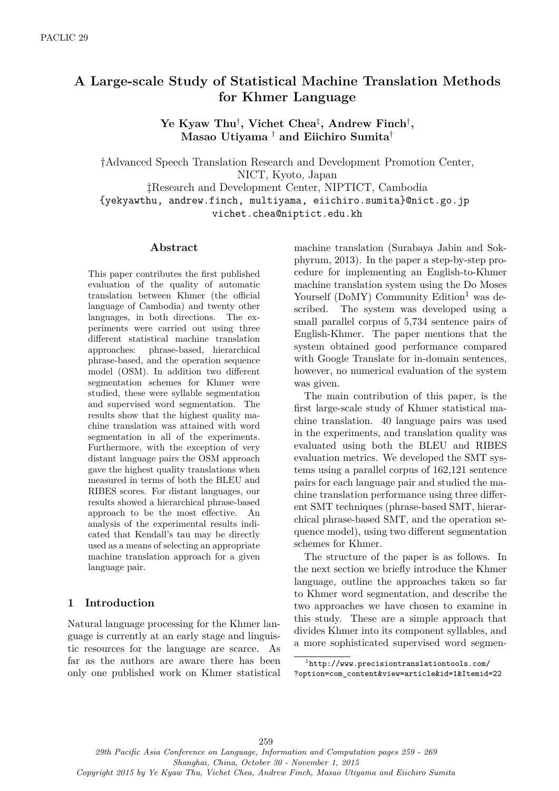# **A Large-scale Study of Statistical Machine Translation Methods for Khmer Language**

**Ye Kyaw Thu***†* **, Vichet Chea***‡* **, Andrew Finch***†* **, Masao Utiyama** *†* **and Eiichiro Sumita***†*

*†*Advanced Speech Translation Research and Development Promotion Center, NICT, Kyoto, Japan *‡*Research and Development Center, NIPTICT, Cambodia {yekyawthu, andrew.finch, multiyama, eiichiro.sumita}@nict.go.jp

vichet.chea@niptict.edu.kh

#### **Abstract**

This paper contributes the first published evaluation of the quality of automatic translation between Khmer (the official language of Cambodia) and twenty other languages, in both directions. The experiments were carried out using three different statistical machine translation approaches: phrase-based, hierarchical phrase-based, and the operation sequence model (OSM). In addition two different segmentation schemes for Khmer were studied, these were syllable segmentation and supervised word segmentation. The results show that the highest quality machine translation was attained with word segmentation in all of the experiments. Furthermore, with the exception of very distant language pairs the OSM approach gave the highest quality translations when measured in terms of both the BLEU and RIBES scores. For distant languages, our results showed a hierarchical phrase-based approach to be the most effective. An analysis of the experimental results indicated that Kendall's tau may be directly used as a means of selecting an appropriate machine translation approach for a given language pair.

#### **1 Introduction**

Natural language processing for the Khmer language is currently at an early stage and linguistic resources for the language are scarce. As far as the authors are aware there has been only one published work on Khmer statistical

machine translation (Surabaya Jabin and Sokphyrum, 2013). In the paper a step-by-step procedure for implementing an English-to-Khmer machine translation system using the Do Moses Yourself ( $Dom'$ ) Community Edition<sup>1</sup> was described. The system was developed using a small parallel corpus of 5,734 sentence pairs of English-Khmer. The paper mentions that the system obtained good performance compared with Google Translate for in-domain sentences, however, no numerical evaluation of the system was given.

The main contribution of this paper, is the first large-scale study of Khmer statistical machine translation. 40 language pairs was used in the experiments, and translation quality was evaluated using both the BLEU and RIBES evaluation metrics. We developed the SMT systems using a parallel corpus of 162,121 sentence pairs for each language pair and studied the machine translation performance using three different SMT techniques (phrase-based SMT, hierarchical phrase-based SMT, and the operation sequence model), using two different segmentation schemes for Khmer.

The structure of the paper is as follows. In the next section we briefly introduce the Khmer language, outline the approaches taken so far to Khmer word segmentation, and describe the two approaches we have chosen to examine in this study. These are a simple approach that divides Khmer into its component syllables, and a more sophisticated supervised word segmen-

<sup>1</sup> http://www.precisiontranslationtools.com/ ?option=com\_content&view=article&id=1&Itemid=22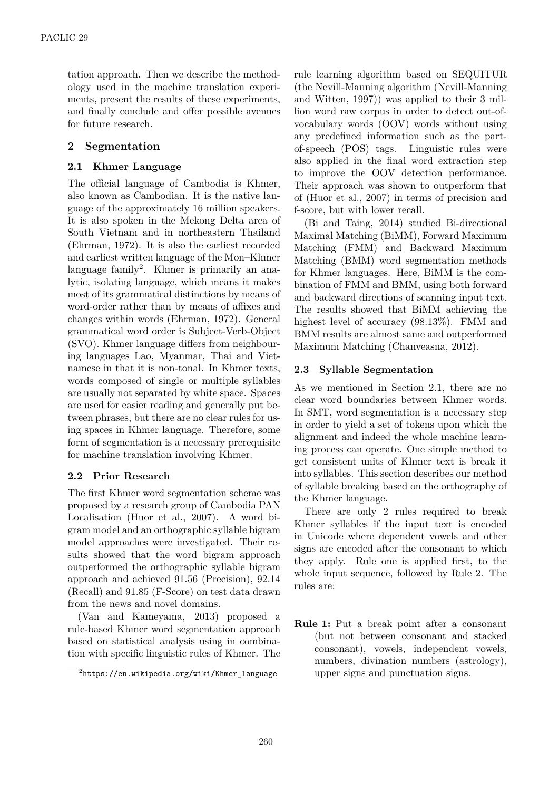tation approach. Then we describe the methodology used in the machine translation experiments, present the results of these experiments, and finally conclude and offer possible avenues for future research.

### **2 Segmentation**

#### **2.1 Khmer Language**

The official language of Cambodia is Khmer, also known as Cambodian. It is the native language of the approximately 16 million speakers. It is also spoken in the Mekong Delta area of South Vietnam and in northeastern Thailand (Ehrman, 1972). It is also the earliest recorded and earliest written language of the Mon–Khmer language family<sup>2</sup>. Khmer is primarily an analytic, isolating language, which means it makes most of its grammatical distinctions by means of word-order rather than by means of affixes and changes within words (Ehrman, 1972). General grammatical word order is Subject-Verb-Object (SVO). Khmer language differs from neighbouring languages Lao, Myanmar, Thai and Vietnamese in that it is non-tonal. In Khmer texts, words composed of single or multiple syllables are usually not separated by white space. Spaces are used for easier reading and generally put between phrases, but there are no clear rules for using spaces in Khmer language. Therefore, some form of segmentation is a necessary prerequisite for machine translation involving Khmer.

#### **2.2 Prior Research**

The first Khmer word segmentation scheme was proposed by a research group of Cambodia PAN Localisation (Huor et al., 2007). A word bigram model and an orthographic syllable bigram model approaches were investigated. Their results showed that the word bigram approach outperformed the orthographic syllable bigram approach and achieved 91.56 (Precision), 92.14 (Recall) and 91.85 (F-Score) on test data drawn from the news and novel domains.

(Van and Kameyama, 2013) proposed a rule-based Khmer word segmentation approach based on statistical analysis using in combination with specific linguistic rules of Khmer. The

rule learning algorithm based on SEQUITUR (the Nevill-Manning algorithm (Nevill-Manning and Witten, 1997)) was applied to their 3 million word raw corpus in order to detect out-ofvocabulary words (OOV) words without using any predefined information such as the partof-speech (POS) tags. Linguistic rules were also applied in the final word extraction step to improve the OOV detection performance. Their approach was shown to outperform that of (Huor et al., 2007) in terms of precision and f-score, but with lower recall.

(Bi and Taing, 2014) studied Bi-directional Maximal Matching (BiMM), Forward Maximum Matching (FMM) and Backward Maximum Matching (BMM) word segmentation methods for Khmer languages. Here, BiMM is the combination of FMM and BMM, using both forward and backward directions of scanning input text. The results showed that BiMM achieving the highest level of accuracy (98.13%). FMM and BMM results are almost same and outperformed Maximum Matching (Chanveasna, 2012).

#### **2.3 Syllable Segmentation**

As we mentioned in Section 2.1, there are no clear word boundaries between Khmer words. In SMT, word segmentation is a necessary step in order to yield a set of tokens upon which the alignment and indeed the whole machine learning process can operate. One simple method to get consistent units of Khmer text is break it into syllables. This section describes our method of syllable breaking based on the orthography of the Khmer language.

There are only 2 rules required to break Khmer syllables if the input text is encoded in Unicode where dependent vowels and other signs are encoded after the consonant to which they apply. Rule one is applied first, to the whole input sequence, followed by Rule 2. The rules are:

**Rule 1:** Put a break point after a consonant (but not between consonant and stacked consonant), vowels, independent vowels, numbers, divination numbers (astrology), upper signs and punctuation signs.

 $^{2}$ https://en.wikipedia.org/wiki/Khmer\_language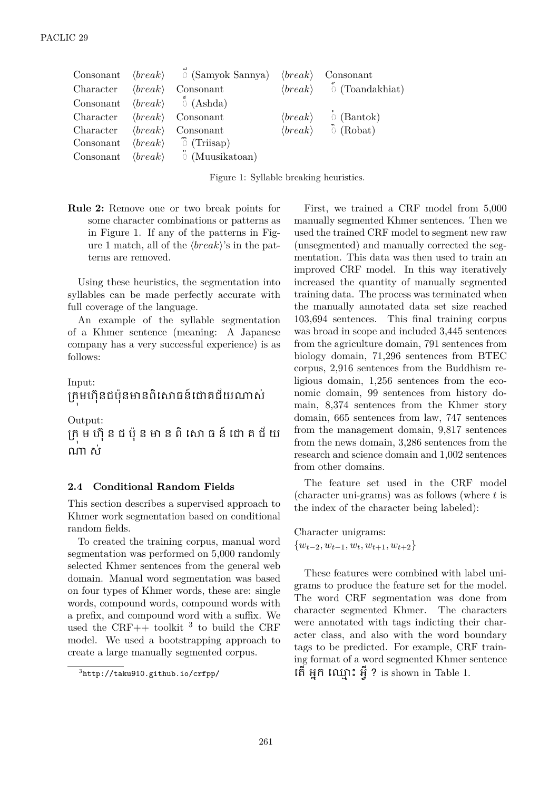| $\text{Consonant} \quad \langle break \rangle$ |                         | $\circ$ (Samyok Sannya) $\langle break \rangle$ |                         | Consonant              |
|------------------------------------------------|-------------------------|-------------------------------------------------|-------------------------|------------------------|
| Character                                      | $\langle break \rangle$ | Consonant                                       | $\langle break\rangle$  | $\circ$ (Toandakhiat)  |
| Consonant                                      |                         | $\langle break \rangle$ (Ashda)                 |                         |                        |
| Character                                      | $\langle break \rangle$ | Consonant                                       | $\langle break \rangle$ | $\circ$ (Bantok)       |
| Character                                      | $\langle break \rangle$ | Consonant                                       | $\langle break \rangle$ | $\hat{\Omega}$ (Robat) |
| Consonant                                      | $\langle break \rangle$ | $\tilde{O}$ (Triisap)                           |                         |                        |
| Consonant                                      | $\langle break \rangle$ | $\ddot{\circ}$ (Muusikatoan)                    |                         |                        |

Figure 1: Syllable breaking heuristics.

**Rule 2:** Remove one or two break points for some character combinations or patterns as in Figure 1. If any of the patterns in Figure 1 match, all of the *⟨break⟩*'s in the patterns are removed.

Using these heuristics, the segmentation into syllables can be made perfectly accurate with full coverage of the language.

An example of the syllable segmentation of a Khmer sentence (meaning: A Japanese company has a very successful experience) is as follows:

# Input: ក្រុមហ៊ុនជប៉ុនមានពិសោធន៍ដោគជ័យណាស់

Output:

ក្រុ ម ហ៊ុ ន ជ ប៉ុ ន មា ន ពិ សោ ធ ន៍ ដោ គ ជ័ យ ណា ស់

#### **2.4 Conditional Random Fields**

This section describes a supervised approach to Khmer work segmentation based on conditional random fields.

To created the training corpus, manual word segmentation was performed on 5,000 randomly selected Khmer sentences from the general web domain. Manual word segmentation was based on four types of Khmer words, these are: single words, compound words, compound words with a prefix, and compound word with a suffix. We used the CRF++ toolkit  $3$  to build the CRF model. We used a bootstrapping approach to create a large manually segmented corpus.

First, we trained a CRF model from 5,000 manually segmented Khmer sentences. Then we used the trained CRF model to segment new raw (unsegmented) and manually corrected the segmentation. This data was then used to train an improved CRF model. In this way iteratively increased the quantity of manually segmented training data. The process was terminated when the manually annotated data set size reached 103,694 sentences. This final training corpus was broad in scope and included 3,445 sentences from the agriculture domain, 791 sentences from biology domain, 71,296 sentences from BTEC corpus, 2,916 sentences from the Buddhism religious domain, 1,256 sentences from the economic domain, 99 sentences from history domain, 8,374 sentences from the Khmer story domain, 665 sentences from law, 747 sentences from the management domain, 9,817 sentences from the news domain, 3,286 sentences from the research and science domain and 1,002 sentences from other domains.

The feature set used in the CRF model (character uni-grams) was as follows (where *t* is the index of the character being labeled):

Character unigrams: *{wt−*2*, wt−*1*, w<sup>t</sup> , wt*+1*, wt*+2*}*

These features were combined with label unigrams to produce the feature set for the model. The word CRF segmentation was done from character segmented Khmer. The characters were annotated with tags indicting their character class, and also with the word boundary tags to be predicted. For example, CRF training format of a word segmented Khmer sentence តើ អ្នក ឈ្មោះ អ៊ី ? is shown in Table 1.

<sup>3</sup> http://taku910.github.io/crfpp/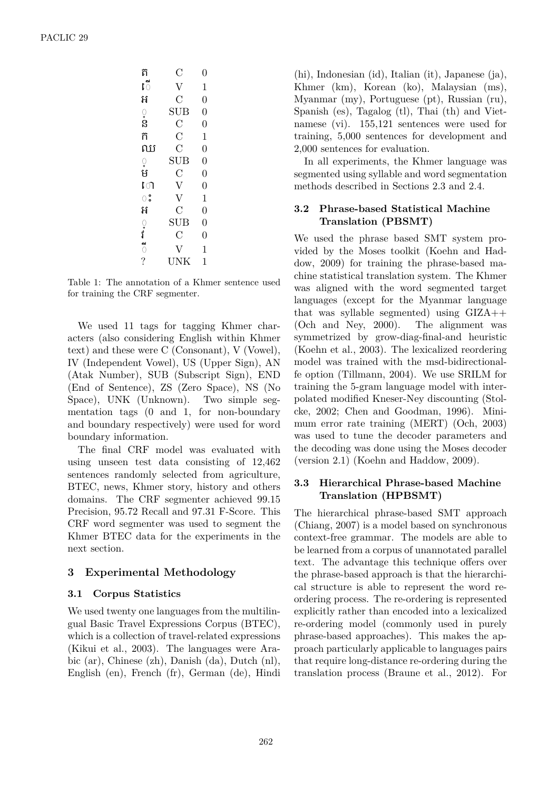| ត                              | $\mathcal{C}$  | 0              |
|--------------------------------|----------------|----------------|
| ើ                              | $\overline{V}$ | $\mathbf{1}$   |
| អ                              | $\overline{C}$ | $\overline{0}$ |
|                                | <b>SUB</b>     | $\overline{0}$ |
| ្<br>ន                         | $\overline{C}$ | $\overline{0}$ |
| ñ                              | $\overline{C}$ | $\mathbf{1}$   |
| ឈ                              | $\overline{C}$ | $\overline{0}$ |
|                                | <b>SUB</b>     | $\overline{0}$ |
| ្<br>ម                         | $\overline{C}$ | $\overline{0}$ |
| ោ                              | $\mathbf{V}$   | $\overline{0}$ |
| ះ                              | $\overline{V}$ | $\mathbf{1}$   |
| អ                              | $\overline{C}$ | $\overline{0}$ |
|                                | <b>SUB</b>     | $\overline{0}$ |
|                                | $\overline{C}$ | $\overline{0}$ |
| $\frac{1}{2}$ or $\frac{1}{2}$ | $\rm V$        | 1              |
|                                | <b>UNK</b>     | 1              |

Table 1: The annotation of a Khmer sentence used for training the CRF segmenter.

We used 11 tags for tagging Khmer characters (also considering English within Khmer text) and these were C (Consonant), V (Vowel), IV (Independent Vowel), US (Upper Sign), AN (Atak Number), SUB (Subscript Sign), END (End of Sentence), ZS (Zero Space), NS (No Space), UNK (Unknown). Two simple segmentation tags (0 and 1, for non-boundary and boundary respectively) were used for word boundary information.

The final CRF model was evaluated with using unseen test data consisting of 12,462 sentences randomly selected from agriculture, BTEC, news, Khmer story, history and others domains. The CRF segmenter achieved 99.15 Precision, 95.72 Recall and 97.31 F-Score. This CRF word segmenter was used to segment the Khmer BTEC data for the experiments in the next section.

#### **3 Experimental Methodology**

#### **3.1 Corpus Statistics**

We used twenty one languages from the multilingual Basic Travel Expressions Corpus (BTEC), which is a collection of travel-related expressions (Kikui et al., 2003). The languages were Arabic (ar), Chinese (zh), Danish (da), Dutch (nl), English (en), French (fr), German (de), Hindi

(hi), Indonesian (id), Italian (it), Japanese (ja), Khmer (km), Korean (ko), Malaysian (ms), Myanmar (my), Portuguese (pt), Russian (ru), Spanish (es), Tagalog (tl), Thai (th) and Vietnamese (vi). 155,121 sentences were used for training, 5,000 sentences for development and 2,000 sentences for evaluation.

In all experiments, the Khmer language was segmented using syllable and word segmentation methods described in Sections 2.3 and 2.4.

#### **3.2 Phrase-based Statistical Machine Translation (PBSMT)**

We used the phrase based SMT system provided by the Moses toolkit (Koehn and Haddow, 2009) for training the phrase-based machine statistical translation system. The Khmer was aligned with the word segmented target languages (except for the Myanmar language that was syllable segmented) using GIZA++ (Och and Ney, 2000). The alignment was symmetrized by grow-diag-final-and heuristic (Koehn et al., 2003). The lexicalized reordering model was trained with the msd-bidirectionalfe option (Tillmann, 2004). We use SRILM for training the 5-gram language model with interpolated modified Kneser-Ney discounting (Stolcke, 2002; Chen and Goodman, 1996). Minimum error rate training (MERT) (Och, 2003) was used to tune the decoder parameters and the decoding was done using the Moses decoder (version 2.1) (Koehn and Haddow, 2009).

#### **3.3 Hierarchical Phrase-based Machine Translation (HPBSMT)**

The hierarchical phrase-based SMT approach (Chiang, 2007) is a model based on synchronous context-free grammar. The models are able to be learned from a corpus of unannotated parallel text. The advantage this technique offers over the phrase-based approach is that the hierarchical structure is able to represent the word reordering process. The re-ordering is represented explicitly rather than encoded into a lexicalized re-ordering model (commonly used in purely phrase-based approaches). This makes the approach particularly applicable to languages pairs that require long-distance re-ordering during the translation process (Braune et al., 2012). For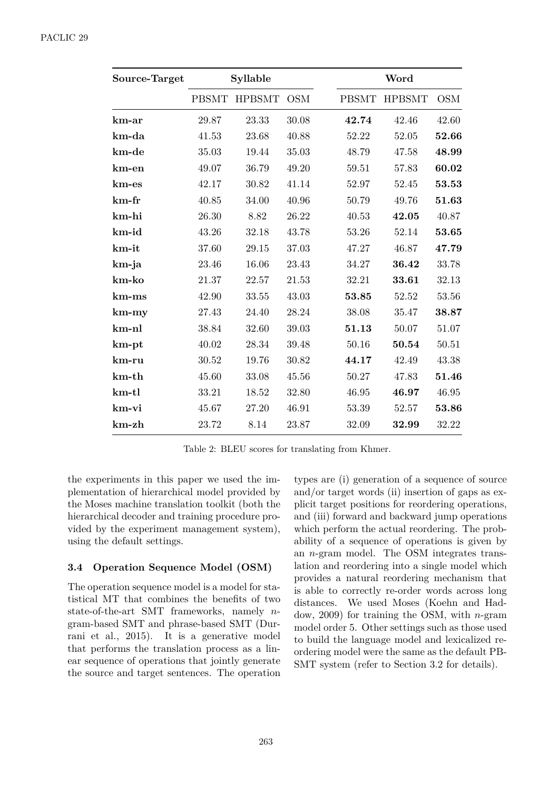| Source-Target |              | Syllable      |            | Word         |               |            |
|---------------|--------------|---------------|------------|--------------|---------------|------------|
|               | <b>PBSMT</b> | <b>HPBSMT</b> | <b>OSM</b> | <b>PBSMT</b> | <b>HPBSMT</b> | <b>OSM</b> |
| km-ar         | 29.87        | 23.33         | 30.08      | 42.74        | 42.46         | 42.60      |
| km-da         | 41.53        | 23.68         | 40.88      | 52.22        | 52.05         | 52.66      |
| km-de         | 35.03        | 19.44         | 35.03      | 48.79        | 47.58         | 48.99      |
| km-en         | 49.07        | 36.79         | 49.20      | 59.51        | 57.83         | 60.02      |
| km-es         | 42.17        | 30.82         | 41.14      | 52.97        | 52.45         | 53.53      |
| $km$ -fr      | 40.85        | 34.00         | 40.96      | 50.79        | 49.76         | 51.63      |
| km-hi         | 26.30        | 8.82          | 26.22      | 40.53        | 42.05         | 40.87      |
| km-id         | 43.26        | 32.18         | 43.78      | 53.26        | 52.14         | 53.65      |
| km-it         | 37.60        | 29.15         | 37.03      | 47.27        | 46.87         | 47.79      |
| km-ja         | 23.46        | 16.06         | 23.43      | 34.27        | 36.42         | 33.78      |
| km-ko         | 21.37        | 22.57         | 21.53      | 32.21        | 33.61         | 32.13      |
| $km$ - $ms$   | 42.90        | 33.55         | 43.03      | 53.85        | 52.52         | 53.56      |
| $km-my$       | 27.43        | 24.40         | 28.24      | 38.08        | 35.47         | 38.87      |
| km-nl         | 38.84        | 32.60         | 39.03      | 51.13        | 50.07         | 51.07      |
| $km$ -pt      | 40.02        | 28.34         | 39.48      | 50.16        | 50.54         | 50.51      |
| km-ru         | 30.52        | 19.76         | 30.82      | 44.17        | 42.49         | 43.38      |
| $km$ -th      | 45.60        | 33.08         | 45.56      | 50.27        | 47.83         | 51.46      |
| $km$ -tl      | 33.21        | 18.52         | 32.80      | 46.95        | 46.97         | 46.95      |
| km-vi         | 45.67        | 27.20         | 46.91      | 53.39        | 52.57         | 53.86      |
| $km$ -zh      | 23.72        | 8.14          | 23.87      | 32.09        | 32.99         | 32.22      |

Table 2: BLEU scores for translating from Khmer.

the experiments in this paper we used the implementation of hierarchical model provided by the Moses machine translation toolkit (both the hierarchical decoder and training procedure provided by the experiment management system), using the default settings.

#### 3.4 Operation Sequence Model (OSM)

The operation sequence model is a model for statistical MT that combines the benefits of two state-of-the-art SMT frameworks, namely  $n$ gram-based SMT and phrase-based SMT (Durrani et al., 2015). It is a generative model that performs the translation process as a linear sequence of operations that jointly generate the source and target sentences. The operation

types are (i) generation of a sequence of source and/or target words (ii) insertion of gaps as  $ex$ plicit target positions for reordering operations, and (iii) forward and backward jump operations which perform the actual reordering. The probability of a sequence of operations is given by an  $n$ -gram model. The OSM integrates translation and reordering into a single model which provides a natural reordering mechanism that is able to correctly re-order words across long distances. We used Moses (Koehn and Haddow, 2009) for training the OSM, with  $n$ -gram model order 5. Other settings such as those used to build the language model and lexicalized reordering model were the same as the default PB-SMT system (refer to Section 3.2 for details).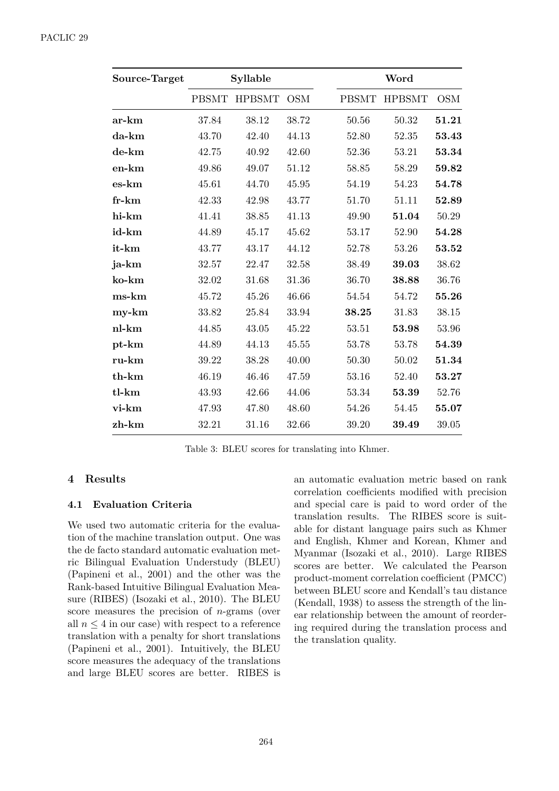| Source-Target |              | Syllable      |            | Word         |               |            |
|---------------|--------------|---------------|------------|--------------|---------------|------------|
|               | <b>PBSMT</b> | <b>HPBSMT</b> | <b>OSM</b> | <b>PBSMT</b> | <b>HPBSMT</b> | <b>OSM</b> |
| ar-km         | 37.84        | 38.12         | 38.72      | 50.56        | 50.32         | 51.21      |
| da-km         | 43.70        | 42.40         | 44.13      | 52.80        | 52.35         | 53.43      |
| de-km         | 42.75        | 40.92         | 42.60      | 52.36        | 53.21         | 53.34      |
| en-km         | 49.86        | 49.07         | 51.12      | 58.85        | 58.29         | 59.82      |
| es-km         | 45.61        | 44.70         | 45.95      | 54.19        | 54.23         | 54.78      |
| $fr-km$       | 42.33        | 42.98         | 43.77      | 51.70        | 51.11         | 52.89      |
| hi-km         | 41.41        | 38.85         | 41.13      | 49.90        | 51.04         | 50.29      |
| id-km         | 44.89        | 45.17         | 45.62      | 53.17        | 52.90         | 54.28      |
| it-km         | 43.77        | 43.17         | 44.12      | 52.78        | 53.26         | 53.52      |
| ja-km         | 32.57        | 22.47         | 32.58      | 38.49        | 39.03         | 38.62      |
| ko-km         | 32.02        | 31.68         | 31.36      | 36.70        | 38.88         | 36.76      |
| ms-km         | 45.72        | 45.26         | 46.66      | 54.54        | 54.72         | 55.26      |
| $my-km$       | 33.82        | 25.84         | 33.94      | 38.25        | 31.83         | 38.15      |
| nl-km         | 44.85        | 43.05         | 45.22      | 53.51        | 53.98         | 53.96      |
| pt-km         | 44.89        | 44.13         | 45.55      | 53.78        | 53.78         | 54.39      |
| ru-km         | 39.22        | 38.28         | 40.00      | 50.30        | 50.02         | 51.34      |
| th-km         | 46.19        | 46.46         | 47.59      | 53.16        | 52.40         | 53.27      |
| tl-km         | 43.93        | 42.66         | 44.06      | 53.34        | 53.39         | 52.76      |
| vi-km         | 47.93        | 47.80         | 48.60      | 54.26        | 54.45         | 55.07      |
| zh-km         | 32.21        | 31.16         | 32.66      | 39.20        | 39.49         | 39.05      |

Table 3: BLEU scores for translating into Khmer.

#### 4 Results

#### **Evaluation Criteria**  $4.1$

We used two automatic criteria for the evaluation of the machine translation output. One was the de facto standard automatic evaluation metric Bilingual Evaluation Understudy (BLEU) (Papineni et al., 2001) and the other was the Rank-based Intuitive Bilingual Evaluation Measure (RIBES) (Isozaki et al., 2010). The BLEU score measures the precision of  $n$ -grams (over all  $n \leq 4$  in our case) with respect to a reference translation with a penalty for short translations (Papineni et al., 2001). Intuitively, the BLEU score measures the adequacy of the translations and large BLEU scores are better. RIBES is

an automatic evaluation metric based on rank correlation coefficients modified with precision and special care is paid to word order of the translation results. The RIBES score is suitable for distant language pairs such as Khmer and English, Khmer and Korean, Khmer and Myanmar (Isozaki et al., 2010). Large RIBES scores are better. We calculated the Pearson product-moment correlation coefficient (PMCC) between BLEU score and Kendall's tau distance (Kendall, 1938) to assess the strength of the linear relationship between the amount of reordering required during the translation process and the translation quality.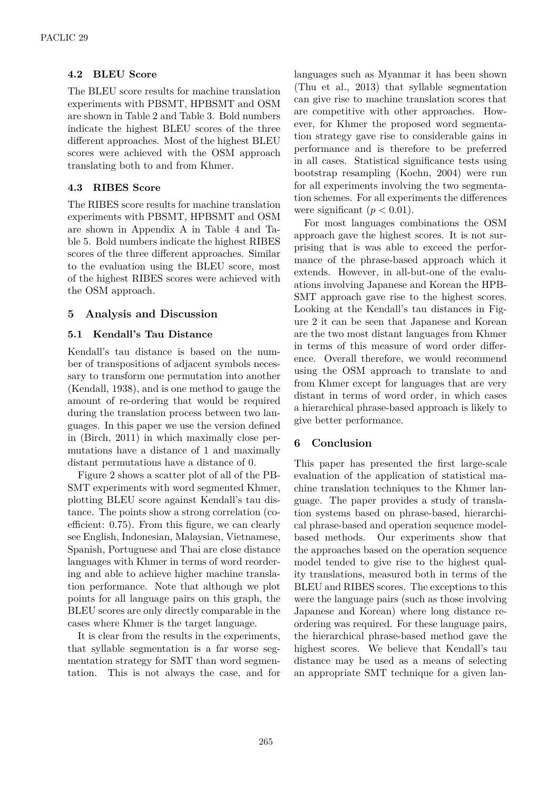#### **4.2 BLEU Score**

The BLEU score results for machine translation experiments with PBSMT, HPBSMT and OSM are shown in Table 2 and Table 3. Bold numbers indicate the highest BLEU scores of the three different approaches. Most of the highest BLEU scores were achieved with the OSM approach translating both to and from Khmer.

#### **4.3 RIBES Score**

The RIBES score results for machine translation experiments with PBSMT, HPBSMT and OSM are shown in Appendix A in Table 4 and Table 5. Bold numbers indicate the highest RIBES scores of the three different approaches. Similar to the evaluation using the BLEU score, most of the highest RIBES scores were achieved with the OSM approach.

#### **5 Analysis and Discussion**

#### **5.1 Kendall's Tau Distance**

Kendall's tau distance is based on the number of transpositions of adjacent symbols necessary to transform one permutation into another (Kendall, 1938), and is one method to gauge the amount of re-ordering that would be required during the translation process between two languages. In this paper we use the version defined in (Birch, 2011) in which maximally close permutations have a distance of 1 and maximally distant permutations have a distance of 0.

Figure 2 shows a scatter plot of all of the PB-SMT experiments with word segmented Khmer, plotting BLEU score against Kendall's tau distance. The points show a strong correlation (coefficient: 0.75). From this figure, we can clearly see English, Indonesian, Malaysian, Vietnamese, Spanish, Portuguese and Thai are close distance languages with Khmer in terms of word reordering and able to achieve higher machine translation performance. Note that although we plot points for all language pairs on this graph, the BLEU scores are only directly comparable in the cases where Khmer is the target language.

It is clear from the results in the experiments, that syllable segmentation is a far worse segmentation strategy for SMT than word segmentation. This is not always the case, and for

languages such as Myanmar it has been shown (Thu et al., 2013) that syllable segmentation can give rise to machine translation scores that are competitive with other approaches. However, for Khmer the proposed word segmentation strategy gave rise to considerable gains in performance and is therefore to be preferred in all cases. Statistical significance tests using bootstrap resampling (Koehn, 2004) were run for all experiments involving the two segmentation schemes. For all experiments the differences were significant  $(p < 0.01)$ .

For most languages combinations the OSM approach gave the highest scores. It is not surprising that is was able to exceed the performance of the phrase-based approach which it extends. However, in all-but-one of the evaluations involving Japanese and Korean the HPB-SMT approach gave rise to the highest scores. Looking at the Kendall's tau distances in Figure 2 it can be seen that Japanese and Korean are the two most distant languages from Khmer in terms of this measure of word order difference. Overall therefore, we would recommend using the OSM approach to translate to and from Khmer except for languages that are very distant in terms of word order, in which cases a hierarchical phrase-based approach is likely to give better performance.

## **6 Conclusion**

This paper has presented the first large-scale evaluation of the application of statistical machine translation techniques to the Khmer language. The paper provides a study of translation systems based on phrase-based, hierarchical phrase-based and operation sequence modelbased methods. Our experiments show that the approaches based on the operation sequence model tended to give rise to the highest quality translations, measured both in terms of the BLEU and RIBES scores. The exceptions to this were the language pairs (such as those involving Japanese and Korean) where long distance reordering was required. For these language pairs, the hierarchical phrase-based method gave the highest scores. We believe that Kendall's tau distance may be used as a means of selecting an appropriate SMT technique for a given lan-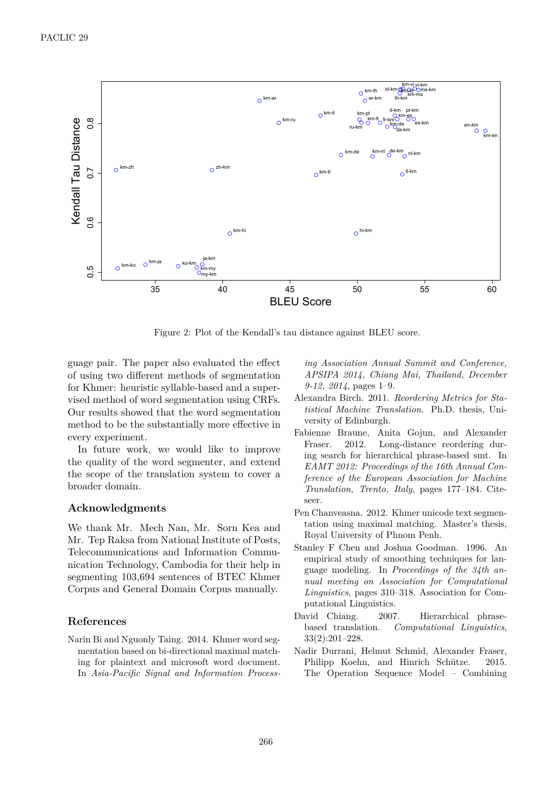

Figure 2: Plot of the Kendall's tau distance against BLEU score.

guage pair. The paper also evaluated the effect of using two different methods of segmentation for Khmer: heuristic syllable-based and a supervised method of word segmentation using CRFs. Our results showed that the word segmentation method to be the substantially more effective in every experiment.

In future work, we would like to improve the quality of the word segmenter, and extend the scope of the translation system to cover a broader domain.

#### **Acknowledgments**

We thank Mr. Mech Nan, Mr. Sorn Kea and Mr. Tep Raksa from National Institute of Posts, Telecommunications and Information Communication Technology, Cambodia for their help in segmenting 103,694 sentences of BTEC Khmer Corpus and General Domain Corpus manually.

#### **References**

Narin Bi and Nguonly Taing. 2014. Khmer word segmentation based on bi-directional maximal matching for plaintext and microsoft word document. In *Asia-Pacific Signal and Information Process-* *ing Association Annual Summit and Conference, APSIPA 2014, Chiang Mai, Thailand, December 9-12, 2014*, pages 1–9.

- Alexandra Birch. 2011. *Reordering Metrics for Statistical Machine Translation*. Ph.D. thesis, University of Edinburgh.
- Fabienne Braune, Anita Gojun, and Alexander Fraser. 2012. Long-distance reordering during search for hierarchical phrase-based smt. In *EAMT 2012: Proceedings of the 16th Annual Conference of the European Association for Machine Translation, Trento, Italy*, pages 177–184. Citeseer.
- Pen Chanveasna. 2012. Khmer unicode text segmentation using maximal matching. Master's thesis, Royal University of Phnom Penh.
- Stanley F Chen and Joshua Goodman. 1996. An empirical study of smoothing techniques for language modeling. In *Proceedings of the 34th annual meeting on Association for Computational Linguistics*, pages 310–318. Association for Computational Linguistics.
- David Chiang. 2007. Hierarchical phrasebased translation. *Computational Linguistics*, 33(2):201–228.
- Nadir Durrani, Helmut Schmid, Alexander Fraser, Philipp Koehn, and Hinrich Schütze. 2015. The Operation Sequence Model – Combining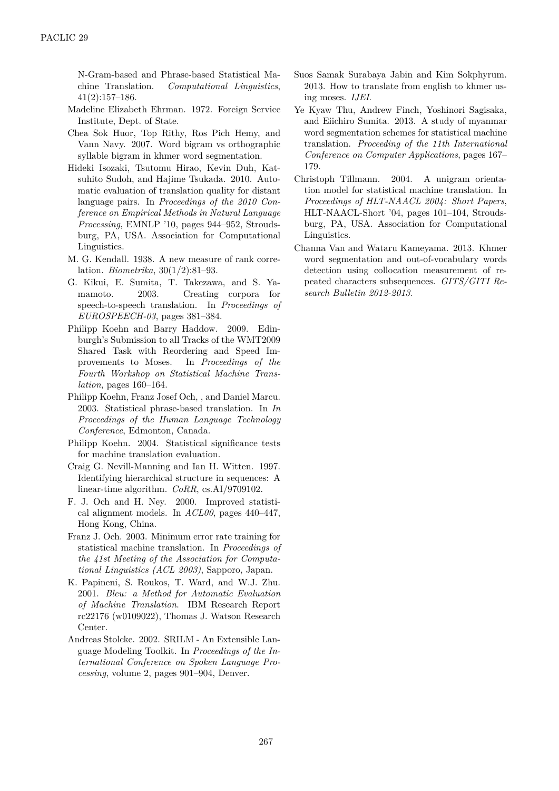N-Gram-based and Phrase-based Statistical Machine Translation. *Computational Linguistics*, 41(2):157–186.

- Madeline Elizabeth Ehrman. 1972. Foreign Service Institute, Dept. of State.
- Chea Sok Huor, Top Rithy, Ros Pich Hemy, and Vann Navy. 2007. Word bigram vs orthographic syllable bigram in khmer word segmentation.
- Hideki Isozaki, Tsutomu Hirao, Kevin Duh, Katsuhito Sudoh, and Hajime Tsukada. 2010. Automatic evaluation of translation quality for distant language pairs. In *Proceedings of the 2010 Conference on Empirical Methods in Natural Language Processing*, EMNLP '10, pages 944–952, Stroudsburg, PA, USA. Association for Computational Linguistics.
- M. G. Kendall. 1938. A new measure of rank correlation. *Biometrika*, 30(1/2):81–93.
- G. Kikui, E. Sumita, T. Takezawa, and S. Yamamoto. 2003. Creating corpora for speech-to-speech translation. In *Proceedings of EUROSPEECH-03*, pages 381–384.
- Philipp Koehn and Barry Haddow. 2009. Edinburgh's Submission to all Tracks of the WMT2009 Shared Task with Reordering and Speed Improvements to Moses. In *Proceedings of the Fourth Workshop on Statistical Machine Translation*, pages 160–164.
- Philipp Koehn, Franz Josef Och, , and Daniel Marcu. 2003. Statistical phrase-based translation. In *In Proceedings of the Human Language Technology Conference*, Edmonton, Canada.
- Philipp Koehn. 2004. Statistical significance tests for machine translation evaluation.
- Craig G. Nevill-Manning and Ian H. Witten. 1997. Identifying hierarchical structure in sequences: A linear-time algorithm. *CoRR*, cs.AI/9709102.
- F. J. Och and H. Ney. 2000. Improved statistical alignment models. In *ACL00*, pages 440–447, Hong Kong, China.
- Franz J. Och. 2003. Minimum error rate training for statistical machine translation. In *Proceedings of the 41st Meeting of the Association for Computational Linguistics (ACL 2003)*, Sapporo, Japan.
- K. Papineni, S. Roukos, T. Ward, and W.J. Zhu. 2001. *Bleu: a Method for Automatic Evaluation of Machine Translation*. IBM Research Report rc22176 (w0109022), Thomas J. Watson Research Center.
- Andreas Stolcke. 2002. SRILM An Extensible Language Modeling Toolkit. In *Proceedings of the International Conference on Spoken Language Processing*, volume 2, pages 901–904, Denver.
- Suos Samak Surabaya Jabin and Kim Sokphyrum. 2013. How to translate from english to khmer using moses. *IJEI*.
- Ye Kyaw Thu, Andrew Finch, Yoshinori Sagisaka, and Eiichiro Sumita. 2013. A study of myanmar word segmentation schemes for statistical machine translation. *Proceeding of the 11th International Conference on Computer Applications*, pages 167– 179.
- Christoph Tillmann. 2004. A unigram orientation model for statistical machine translation. In *Proceedings of HLT-NAACL 2004: Short Papers*, HLT-NAACL-Short '04, pages 101–104, Stroudsburg, PA, USA. Association for Computational Linguistics.
- Channa Van and Wataru Kameyama. 2013. Khmer word segmentation and out-of-vocabulary words detection using collocation measurement of repeated characters subsequences. *GITS/GITI Research Bulletin 2012-2013*.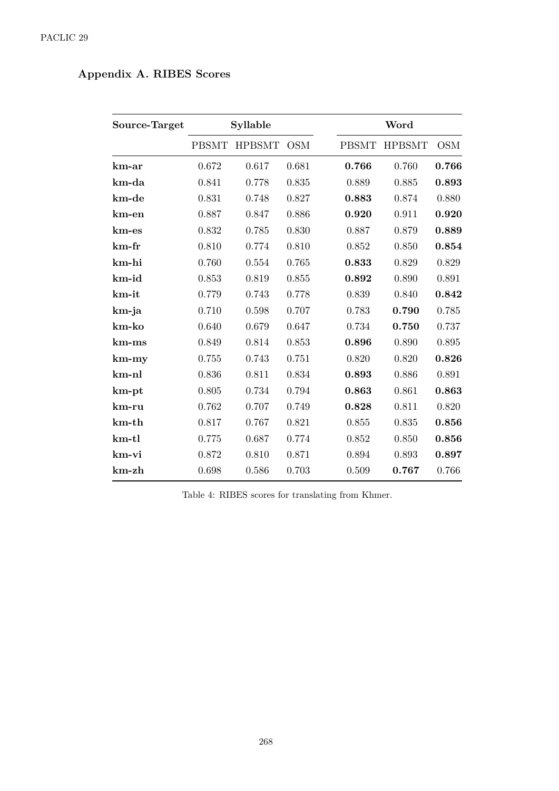# Appendix A. RIBES Scores

| Source-Target | Syllable     |               |            |  | Word         |               |            |  |
|---------------|--------------|---------------|------------|--|--------------|---------------|------------|--|
|               | <b>PBSMT</b> | <b>HPBSMT</b> | <b>OSM</b> |  | <b>PBSMT</b> | <b>HPBSMT</b> | <b>OSM</b> |  |
| $km-ar$       | 0.672        | 0.617         | 0.681      |  | 0.766        | 0.760         | 0.766      |  |
| km-da         | 0.841        | 0.778         | 0.835      |  | 0.889        | 0.885         | 0.893      |  |
| km-de         | 0.831        | 0.748         | 0.827      |  | 0.883        | 0.874         | 0.880      |  |
| km-en         | 0.887        | 0.847         | 0.886      |  | 0.920        | 0.911         | 0.920      |  |
| km-es         | 0.832        | 0.785         | 0.830      |  | 0.887        | 0.879         | 0.889      |  |
| $km$ -fr      | 0.810        | 0.774         | 0.810      |  | 0.852        | 0.850         | 0.854      |  |
| km-hi         | 0.760        | 0.554         | 0.765      |  | 0.833        | 0.829         | 0.829      |  |
| $km$ - $id$   | 0.853        | 0.819         | 0.855      |  | 0.892        | 0.890         | 0.891      |  |
| km-it         | 0.779        | 0.743         | 0.778      |  | 0.839        | 0.840         | 0.842      |  |
| km-ja         | 0.710        | 0.598         | 0.707      |  | 0.783        | 0.790         | 0.785      |  |
| km-ko         | 0.640        | 0.679         | 0.647      |  | 0.734        | 0.750         | 0.737      |  |
| $km$ - $ms$   | 0.849        | 0.814         | 0.853      |  | 0.896        | 0.890         | 0.895      |  |
| $km-my$       | 0.755        | 0.743         | 0.751      |  | 0.820        | 0.820         | 0.826      |  |
| km-nl         | 0.836        | 0.811         | 0.834      |  | 0.893        | 0.886         | 0.891      |  |
| km-pt         | 0.805        | 0.734         | 0.794      |  | 0.863        | 0.861         | 0.863      |  |
| km-ru         | 0.762        | 0.707         | 0.749      |  | 0.828        | 0.811         | 0.820      |  |
| $km-th$       | 0.817        | 0.767         | 0.821      |  | 0.855        | 0.835         | 0.856      |  |
| $km$ -tl      | 0.775        | 0.687         | 0.774      |  | 0.852        | 0.850         | 0.856      |  |
| km-vi         | 0.872        | 0.810         | 0.871      |  | 0.894        | 0.893         | 0.897      |  |
| $km$ -zh      | 0.698        | 0.586         | 0.703      |  | 0.509        | 0.767         | 0.766      |  |

Table 4: RIBES scores for translating from Khmer.  $\,$